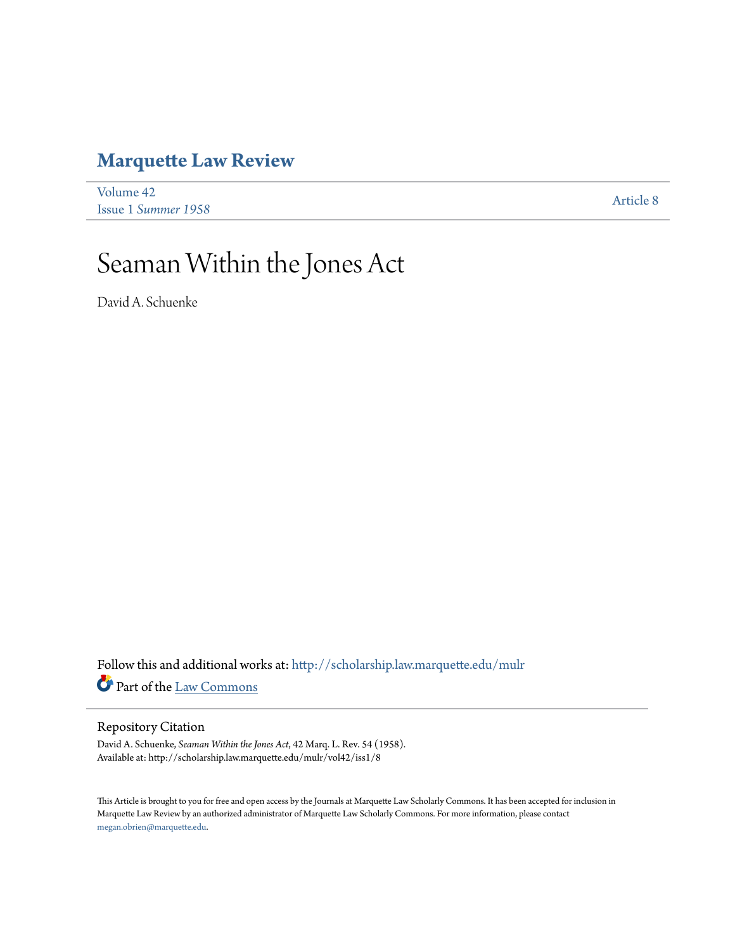## **[Marquette Law Review](http://scholarship.law.marquette.edu/mulr?utm_source=scholarship.law.marquette.edu%2Fmulr%2Fvol42%2Fiss1%2F8&utm_medium=PDF&utm_campaign=PDFCoverPages)**

| Volume 42           | <b>Article 8</b> |
|---------------------|------------------|
| Issue 1 Summer 1958 |                  |

# Seaman Within the Jones Act

David A. Schuenke

Follow this and additional works at: [http://scholarship.law.marquette.edu/mulr](http://scholarship.law.marquette.edu/mulr?utm_source=scholarship.law.marquette.edu%2Fmulr%2Fvol42%2Fiss1%2F8&utm_medium=PDF&utm_campaign=PDFCoverPages) Part of the [Law Commons](http://network.bepress.com/hgg/discipline/578?utm_source=scholarship.law.marquette.edu%2Fmulr%2Fvol42%2Fiss1%2F8&utm_medium=PDF&utm_campaign=PDFCoverPages)

#### Repository Citation

David A. Schuenke, *Seaman Within the Jones Act*, 42 Marq. L. Rev. 54 (1958). Available at: http://scholarship.law.marquette.edu/mulr/vol42/iss1/8

This Article is brought to you for free and open access by the Journals at Marquette Law Scholarly Commons. It has been accepted for inclusion in Marquette Law Review by an authorized administrator of Marquette Law Scholarly Commons. For more information, please contact [megan.obrien@marquette.edu.](mailto:megan.obrien@marquette.edu)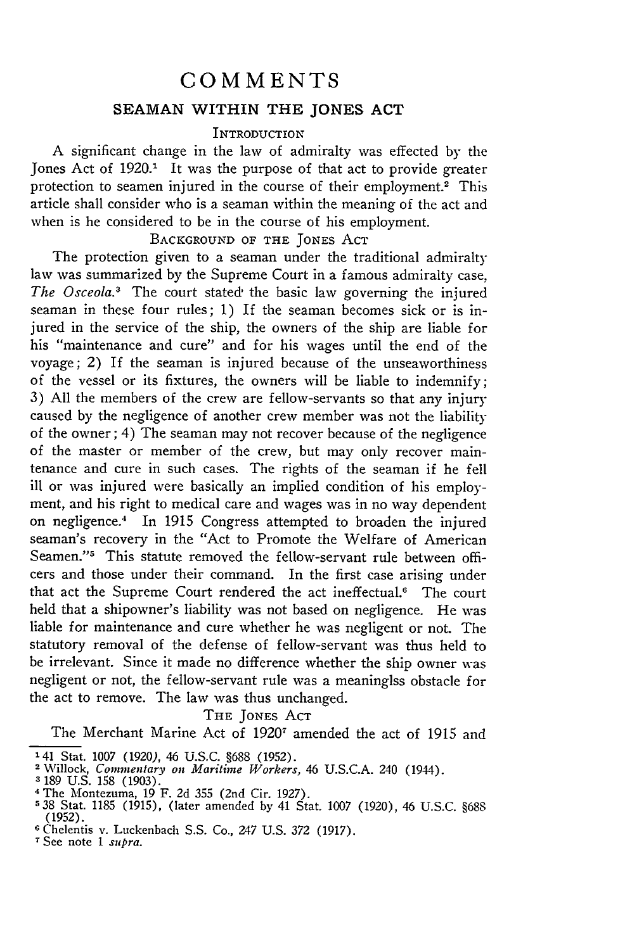### **COMMENTS SEAMAN WITHIN THE JONES ACT**

#### **INTRODUCTION**

A significant change in the law of admiralty was effected by the Jones Act of 1920.<sup>1</sup> It was the purpose of that act to provide greater protection to seamen injured in the course of their employment.<sup>2</sup> This article shall consider who is a seaman within the meaning of the act and when is he considered to be in the course of his employment.

#### BACKGROUND OF THE JONES ACT

The protection given to a seaman under the traditional admiralty law was summarized by the Supreme Court in a famous admiralty case, *The Osceola.3* The court stated the basic law governing the injured seaman in these four rules; 1) If the seaman becomes sick or is injured in the service of the ship, the owners of the ship are liable for his "maintenance and cure" and for his wages until the end of the voyage; 2) If the seaman is injured because of the unseaworthiness of the vessel or its fixtures, the owners will be liable to indemnify; 3) All the members of the crew are fellow-servants so that any injury caused by the negligence of another crew member was not the liability of the owner; 4) The seaman may not recover because of the negligence of the master or member of the crew, but may only recover maintenance and cure in such cases. The rights of the seaman if he fell ill or was injured were basically an implied condition of his employment, and his right to medical care and wages was in no way dependent on negligence.<sup>4</sup> In 1915 Congress attempted to broaden the injured seaman's recovery in the "Act to Promote the Welfare of American Seamen."<sup>5</sup> This statute removed the fellow-servant rule between officers and those under their command. In the first case arising under that act the Supreme Court rendered the act ineffectual.<sup>6</sup> The court held that a shipowner's liability was not based on negligence. He was liable for maintenance and cure whether he was negligent or not. The statutory removal of the defense of fellow-servant was thus held to be irrelevant. Since it made no difference whether the ship owner was negligent or not, the fellow-servant rule was a meaninglss obstacle for the act to remove. The law was thus unchanged.

#### THE JONES ACT

The Merchant Marine Act of 1920<sup>7</sup> amended the act of 1915 and

 $\frac{1}{141}$  S<sub>tat.</sub> 1007 (1020), 46 U.S.C. §688 (1052)

<sup>2</sup> Willock, *Commentary on Maritime Workers,* 46 U.S.C.A. 240 (1944).

**<sup>3</sup>** 189 U.S. 158 (1903).

<sup>4</sup> The Montezuma, 19 F. 2d 355 (2nd Cir. 1927).

**<sup>538</sup>** Stat. 1185 (1915), (later amended by 41 Stat. 1007 (1920), 46 U.S.C. §688 (1952). **<sup>6</sup>**Chelentis v. Luckenbach S.S. Co., 247 U.S. 372 (1917).

**<sup>7</sup>** See note *I* supra.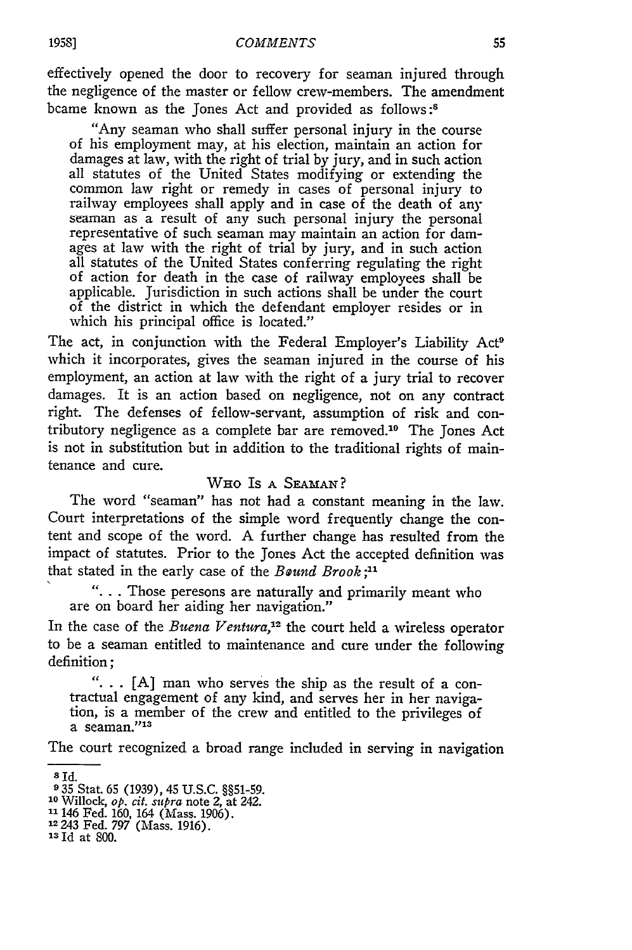effectively opened the door to recovery for seaman injured through the negligence of the master or fellow crew-members. The amendment bcame known as the Jones Act and provided as follows **:8**

"Any seaman who shall suffer personal injury in the course of his employment may, at his election, maintain an action for damages at law, with the right of trial by jury, and in such action all statutes of the United States modifying or extending the common law right or remedy in cases of personal injury to railway employees shall apply and in case of the death of any seaman as a result of any such personal injury the personal representative of such seaman may maintain an action for damages at law with the right of trial by jury, and in such action all statutes of the United States conferring regulating the right of action for death in the case of railway employees shall be applicable. Jurisdiction in such actions shall be under the court of the district in which the defendant employer resides or in which his principal office is located."

The act, in conjunction with the Federal Employer's Liability Act<sup>9</sup> which it incorporates, gives the seaman injured in the course of his employment, an action at law with the right of a jury trial to recover damages. It is an action based on negligence, not on any contract right. The defenses of fellow-servant, assumption of risk and contributory negligence as a complete bar are removed.10 The Jones Act is not in substitution but in addition to the traditional rights of maintenance and cure.

#### WHO IS A SEAMAN?

The word "seaman" has not had a constant meaning in the law. Court interpretations of the simple word frequently change the content and scope of the word. A further change has resulted from the impact of statutes. Prior to the Jones Act the accepted definition was that stated in the early case of the *Bound Brook;"*

"... Those peresons are naturally and primarily meant who are on board her aiding her navigation."

In the case of the *Buena Ventura,'12* the court held a wireless operator to be a seaman entitled to maintenance and cure under the following definition;

**"...** [A] man who serves the ship as the result of a contractual engagement of any kind, and serves her in her navigation, is a member of the crew and entitled to the privileges of a seaman."<sup>13</sup>

The court recognized a broad range included in serving in navigation

**<sup>8</sup> Id.**

**<sup>9</sup>**35 Stat. 65 (1939), 45 U.S.C. §§51-59. **<sup>10</sup>**Willock, *op. cit. supra* note 2, at 242.

**<sup>1&#</sup>x27;** 146 Fed. 160, 164 (Mass. 1906). **<sup>12243</sup>**Fed. 797 (Mass. 1916).

<sup>&</sup>lt;sup>13</sup> Id at 800.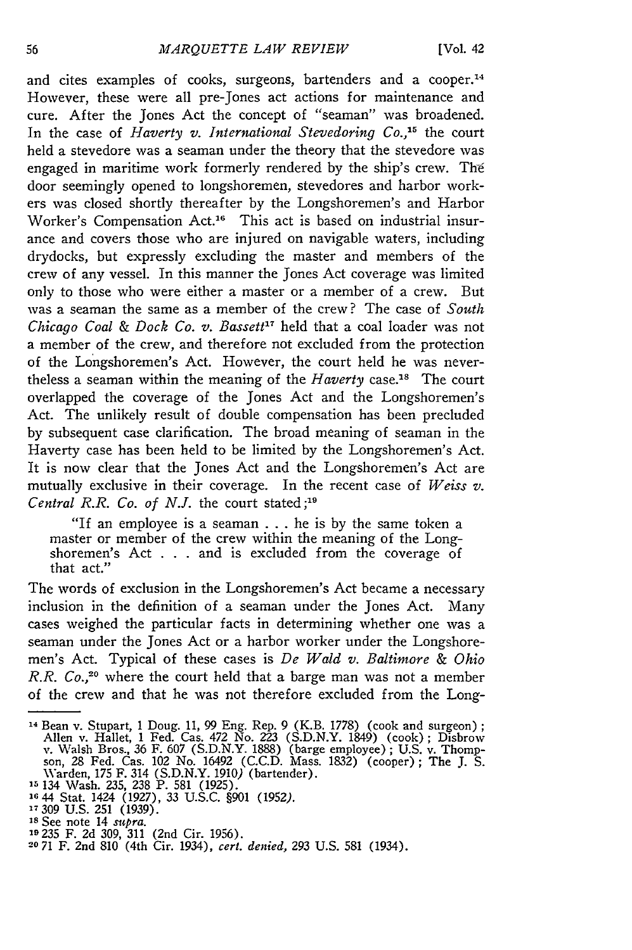and cites examples of cooks, surgeons, bartenders and a cooper.<sup>14</sup> However, these were all pre-Jones act actions for maintenance and cure. After the Jones Act the concept of "seaman" was broadened. In the case of *Haverty v. International Stevedoring Co.*,<sup>15</sup> the court held a stevedore was a seaman under the theory that the stevedore was engaged in maritime work formerly rendered by the ship's crew. The door seemingly opened to longshoremen, stevedores and harbor workers was closed shortly thereafter by the Longshoremen's and Harbor Worker's Compensation Act.<sup>16</sup> This act is based on industrial insurance and covers those who are injured on navigable waters, including drydocks, but expressly excluding the master and members of the crew of any vessel. In this manner the Jones Act coverage was limited only to those who were either a master or a member of a crew. But was a seaman the same as a member of the crew? The case of *South Chicago Coal & Dock Co. v. Bassett"* held that a coal loader was not a member of the crew, and therefore not excluded from the protection of the Longshoremen's Act. However, the court held he was nevertheless a seaman within the meaning of the *Haverty* case.<sup>18</sup> The court overlapped the coverage of the Jones Act and the Longshoremen's Act. The unlikely result of double compensation has been precluded by subsequent case clarification. The broad meaning of seaman in the Haverty case has been held to be limited by the Longshoremen's Act. It is now clear that the Jones Act and the Longshoremen's Act are mutually exclusive in their coverage. In the recent case of *Weiss v. Central R.R. Co. of N.J.* the court stated **;19**

"If an employee is a seaman ... he is by the same token a master or member of the crew within the meaning of the Longshoremen's Act . . . and is excluded from the coverage of that act."

The words of exclusion in the Longshoremen's Act became a necessary inclusion in the definition of a seaman under the Jones Act. Many cases weighed the particular facts in determining whether one was a seaman under the Jones Act or a harbor worker under the Longshoremen's Act. Typical of these cases is *De Wald v. Baltimore & Ohio R.R. Co.,20* where the court held that a barge man was not a member of the crew and that he was not therefore excluded from the Long-

**<sup>19235</sup>**F. 2d 309, 311 (2nd Cir. 1956). **<sup>20</sup>**71 F. 2nd 810 (4th Cir. 1934), *cert. denied,* 293 U.S. 581 (1934).

<sup>14</sup> Bean v. Stupart, 1 Doug. 11, 99 Eng. Rep. 9 (K.B. 1778) (cook and surgeon) **;** Allen v. Hallet, 1 Fed. Cas. 472 No. 223 (S.D.N.Y. 1849) (cook); Disbrow<br>v. Walsh Bros., 36 F. 607 (S.D.N.Y. 1888) (barge employee); U.S. v. Thompson, 28 Fed. Cas. 102 No. 16492 (C.C.D. Mass. 1832) (cooper); The J. S.<br>Ward

**<sup>15</sup>**134 Wash. 235, 238 P. 581 (1925). **<sup>16</sup>**44 Stat. 1424 (1927), 33 U.S.C. §901 (1952). 17309 U.S. 251 (1939).

**Is** See note 14 *supra.*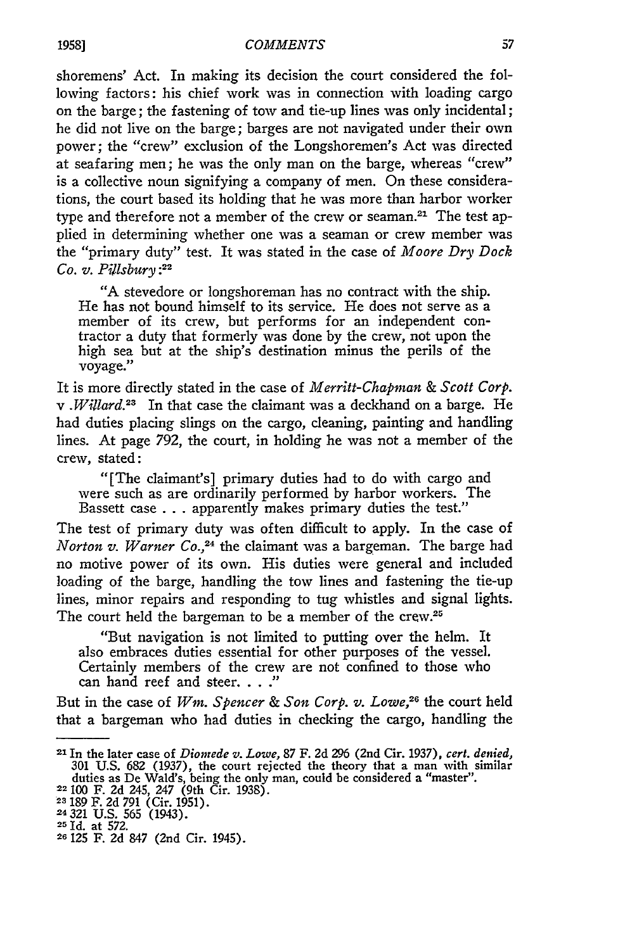shoremens' Act. In making its decision the court considered the following factors: his chief work was in connection with loading cargo on the barge; the fastening of tow and tie-up lines was only incidental; he did not live on the barge; barges are not navigated under their own power; the "crew" exclusion of the Longshoremen's Act was directed at seafaring men; he was the only man on the barge, whereas "crew" is a collective noun signifying a company of men. On these considerations, the court based its holding that he was more than harbor worker type and therefore not a member of the crew or seaman.<sup>21</sup> The test applied in determining whether one was a seaman or crew member was the "primary duty" test. It was stated in the case of *Moore Dry Dock Co. v. Pillsbury :22*

"A stevedore or longshoreman has no contract with the ship. He has not bound himself to its service. He does not serve as a member of its crew, but performs for an independent contractor a duty that formerly was done by the crew, not upon the high sea but at the ship's destination minus the perils of the voyage."

It is more directly stated in the case of *Merritt-Chapman & Scott Corp. v .Willard.23* In that case the claimant was a deckhand on a barge. He had duties placing slings on the cargo, cleaning, painting and handling lines. At page 792, the court, in holding he was not a member of the crew, stated:

"[The claimant's] primary duties had to do with cargo and were such as are ordinarily performed **by** harbor workers. The Bassett case **.** . **.** apparently makes primary duties the test."

The test of primary duty was often difficult to apply. In the case of *Norton v. Warner Co.,24* the claimant was a bargeman. The barge had no motive power of its own. His duties were general and included loading of the barge, handling the tow lines and fastening the tie-up lines, minor repairs and responding to tug whistles and signal lights. The court held the bargeman to be a member of the crew.<sup>25</sup>

"But navigation is not limited to putting over the helm. It also embraces duties essential for other purposes of the vessel. Certainly members of the crew are not confined to those who can hand reef and steer. **.. ."**

But in the case of *Win. Spencer & Son Corp. v. Lowe,26* the court held that a bargeman who had duties in checking the cargo, handling the

**<sup>21</sup>**In the later case of *Dionrede v. Lowe,* **87** F. **2d** 296 (2nd Cir. 1937), *cert. denied,* **301** U.S. **682** (1937), the court rejected the theory that a man with similar duties as De Wald's, being the only man, could be considered a "master". 22100 F. 2d 245, 247 (9th Cir. 1938).

**<sup>23</sup>**189 F. 2d 791 (Cir. 1951).

<sup>24321</sup> U.S. **565** (1943).

<sup>25</sup> Id. at 572. **26 125** F. **2d** 847 (2nd Cir. 1945).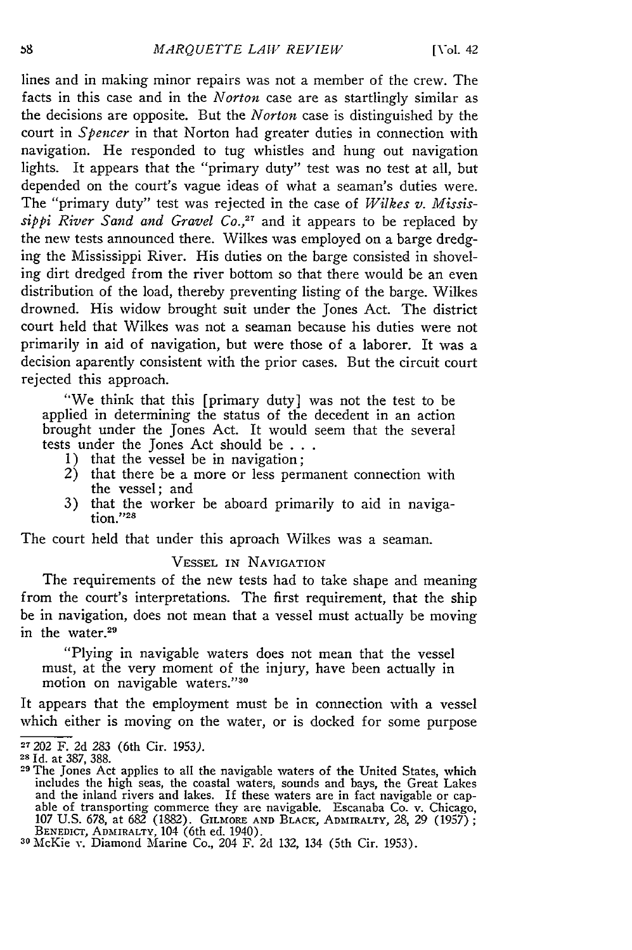lines and in making minor repairs was not a member of the crew. The facts in this case and in the *Norton* case are as startlingly similar as the decisions are opposite. But the *Norton* case is distinguished by the court in *Spencer* in that Norton had greater duties in connection with navigation. He responded to tug whistles and hung out navigation lights. It appears that the "primary duty" test was no test at all, but depended on the court's vague ideas of what a seaman's duties were. The "primary duty" test was rejected in the case of *Wilkes v. Mississippi River Sand and Gravel Co.*,<sup>27</sup> and it appears to be replaced by the new tests announced there. Wilkes was employed on a barge dredging the Mississippi River. His duties on the barge consisted in shoveling dirt dredged from the river bottom so that there would be an even distribution of the load, thereby preventing listing of the barge. Wilkes drowned. His widow brought suit under the Jones Act. The district court held that Wilkes was not a seaman because his duties were not primarily in aid of navigation, but were those of a laborer. It was a decision aparently consistent with the prior cases. But the circuit court rejected this approach.

"We think that this [primary duty] was not the test to be applied in determining the status of the decedent in an action brought under the Jones Act. It would seem that the several tests under the Jones Act should be **. ..** 1) that the vessel be in navigation;

- 
- 2) that there be a more or less permanent connection with the vessel; and
- 3) that the worker be aboard primarily to aid in navigation."28

The court held that under this aproach Wilkes was a seaman.

#### VESSEL IN NAVIGATION

The requirements of the new tests had to take shape and meaning from the court's interpretations. The first requirement, that the ship be in navigation, does not mean that a vessel must actually be moving in the water.<sup>29</sup>

"Plying in navigable waters does not mean that the vessel must, at the very moment of the injury, have been actually in motion on navigable waters."<sup>30</sup>

It appears that the employment must be in connection with a vessel which either is moving on the water, or is docked for some purpose

**<sup>27202</sup>**F. 2d 283 (6th Cir. 1953).

**<sup>28</sup>**Id. at 387, 388.

**<sup>29</sup>**The Jones Act applies to all the navigable waters of the United States, which includes the high seas, the coastal waters, sounds and bays, the Great Lakes<br>and the inland rivers and lakes. If these waters are in fact navigable or cap-<br>able of transporting commerce they are navigable. Escanaba Co. v. 107 U.S. 678, at 682 (1882). GILMORE AND BLACK, ADMIRALTY, 28, 29 (1957)<br>BENEDICT, ADMIRALTY, 104 (6th ed. 1940).<br><sup>30</sup> McKie v. Diamond Marine Co., 204 F. 2d 132, 134 (5th Cir. 1953).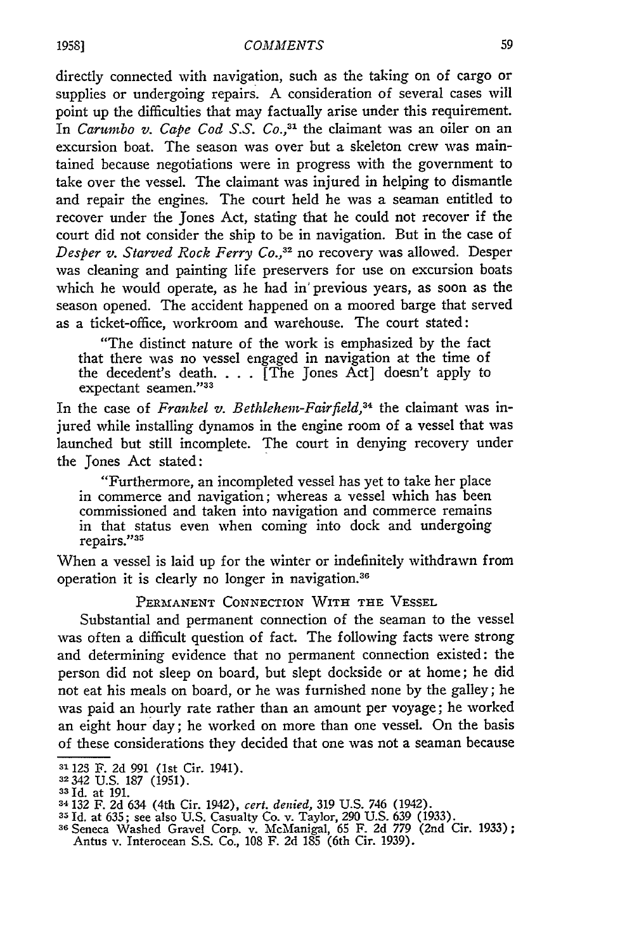directly connected with navigation, such as the taking on of cargo or supplies or undergoing repairs. A consideration of several cases will point up the difficulties that may factually arise under this requirement. *In Carumbo v. Cape Cod S.S. Co.,31* the claimant was an oiler on an excursion boat. The season was over but a skeleton crew was maintained because negotiations were in progress with the government to take over the vessel. The claimant was injured in helping to dismantle and repair the engines. The court held he was a seaman entitled to recover under the Jones Act, stating that he could not recover if the court did not consider the ship to be in navigation. But in the case of *Desper v. Starved Rock Ferry Co.,32* no recovery was allowed. Desper was cleaning and painting life preservers for use on excursion boats which he would operate, as he had in' previous years, as soon as the season opened. The accident happened on a moored barge that served as a ticket-office, workroom and warehouse. The court stated:

"The distinct nature of the work is emphasized by the fact that there was no vessel engaged in navigation at the time of the decedent's death. . . . [The Jones Act] doesn't apply to expectant seamen."33

In the case of *Frankel v. Bethlehem-Fairfield,34* the claimant was injured while installing dynamos in the engine room of a vessel that was launched but still incomplete. The court in denying recovery under the Jones Act stated:

"Furthermore, an incompleted vessel has yet to take her place in commerce and navigation; whereas a vessel which has been commissioned and taken into navigation and commerce remains in that status even when coming into dock and undergoing repairs."<sup>35</sup>

When a vessel is laid up for the winter or indefinitely withdrawn from operation it is clearly no longer in navigation.<sup>36</sup>

#### **PERMANENT CONNECTION** WITH **THE VESSEL**

Substantial and permanent connection of the seaman to the vessel was often a difficult question of fact. The following facts were strong and determining evidence that no permanent connection existed: the person did not sleep on board, but slept dockside or at home; he did not eat his meals on board, or he was furnished none by the galley; he was paid an hourly rate rather than an amount per voyage; he worked an eight hour day; he worked on more than one vessel. On the basis of these considerations they decided that one was not a seaman because

**<sup>31</sup>**123 F. **2d** 991 (1st Cir. 1941). <sup>32</sup>342 **U.S.** *187* **(1951).**

<sup>331</sup>d. at **191.**

<sup>34132</sup> F. **2d** 634 (4th Cir. 1942), *cert. denied,* **319** U.S. 746 (1942).

**<sup>35</sup> Id.** at **635;** see also U.S. Casualty Co. v. Taylor, **290** U.S. 639 (1933). **<sup>36</sup>**Seneca Washed Gravel Corp. v. McManigal, **65** F. **2d 779** (2nd Cir. **1933);**

Antus v. Interocean **S.S.** Co., **108** F. **2d 185** (6th Cir. 1939).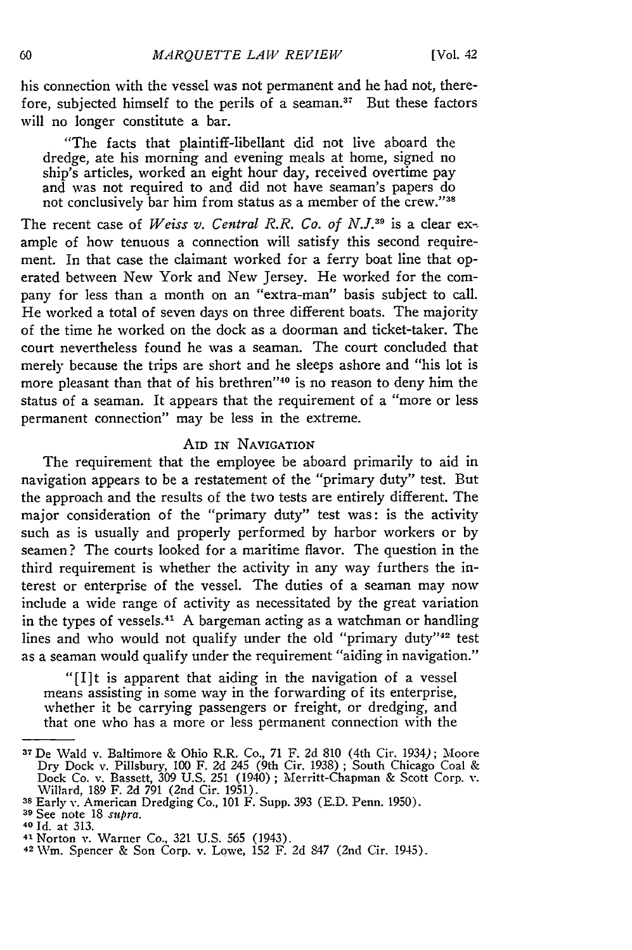his connection with the vessel was not permanent and he had not, therefore, subjected himself to the perils of a seaman.<sup>37</sup> But these factors will no longer constitute a bar.

"The facts that plaintiff-libellant did not live aboard the dredge, ate his morning and evening meals at home, signed no ship's articles, worked an eight hour day, received overtime pay and was not required to and did not have seaman's papers do not conclusively bar him from status as a member of the crew."38

The recent case of *Weiss v. Central R.R. Co. of N.J.*<sup>39</sup> is a clear example of how tenuous a connection will satisfy this second requirement. In that case the claimant worked for a ferry boat line that operated between New York and New Jersey. He worked for the company for less than a month on an "extra-man" basis subject to call. He worked a total of seven days on three different boats. The majority of the time he worked on the dock as a doorman and ticket-taker. The court nevertheless found he was a seaman. The court concluded that merely because the trips are short and he sleeps ashore and "his lot is more pleasant than that of his brethren"<sup>40</sup> is no reason to deny him the status of a seaman. It appears that the requirement of a "more or less permanent connection" may be less in the extreme.

#### AID IN NAVIGATION

The requirement that the employee be aboard primarily to aid in navigation appears to be a restatement of the "primary duty" test. But the approach and the results of the two tests are entirely different. The major consideration of the "primary duty" test was: is the activity such as is usually and properly performed by harbor workers or by seamen? The courts looked for a maritime flavor. The question in the third requirement is whether the activity in any way furthers the interest or enterprise of the vessel. The duties of a seaman may now include a wide range of activity as necessitated by the great variation in the types of vessels.<sup>41</sup> A bargeman acting as a watchman or handling lines and who would not qualify under the old "primary duty"<sup>42</sup> test as a seaman would qualify under the requirement "aiding in navigation."

"[I]t is apparent that aiding in the navigation of a vessel means assisting in some way in the forwarding of its enterprise, whether it be carrying passengers or freight, or dredging, and that one who has a more or less permanent connection with the

<sup>37</sup> De Wald v. Baltimore & Ohio R.R. Co., 71 F. 2d 810 (4th Cir. 1934); Moore Dry Dock v. Pillsbury, 100 F. 2d 245 (9th Cir. 1938) ; South Chicago Coal & Dock Co. v. Bassett, 309 U.S. 251 (1940) ; Merritt-Chapman & Scott Corp. v. Willard, 189 F. 2d 791 (2nd Cir. 1951).

**<sup>38</sup>**Early v. American Dredging Co., 101 F. Supp. 393 (E.D. Penn. 1950).

**<sup>39</sup>**See note 18 *supra.* **40 Id.** at **313.** 41 Norton v. Warner Co., 321 U.S. 565 (1943).

<sup>42</sup>**WiM.** Spencer & Son Corp. v. Lowe, 152 F. 2d 847 (2nd Cir. 1945).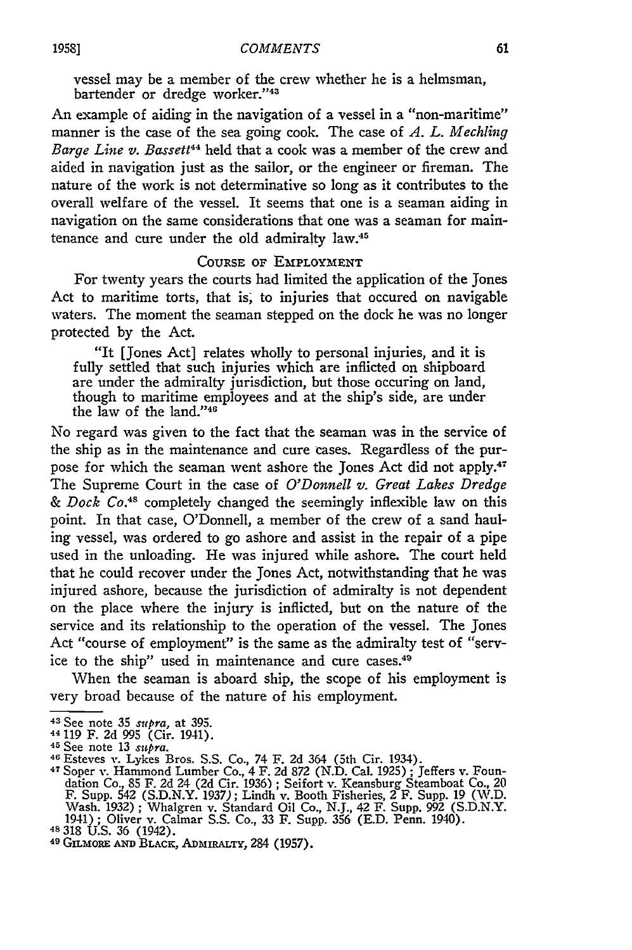vessel may be a member of the crew whether he is a helmsman, bartender or dredge worker."43

An example of aiding in the navigation of a vessel in a "non-maritime" manner is the case of the sea going cook. The case of *A. L. Mechling Barge Line v. Bassett<sup>44</sup>* held that a cook was a member of the crew and aided in navigation just as the sailor, or the engineer or fireman. The nature of the work is not determinative so long as it contributes to the overall welfare of the vessel. It seems that one is a seaman aiding in navigation on the same considerations that one was a seaman for maintenance and cure under the old admiralty law.<sup>41</sup>

#### **COURSE** OF EMPLOYMENT

For twenty years the courts had limited the application of the Jones Act to maritime torts, that *is,* to injuries that occured on navigable waters. The moment the seaman stepped on the dock he was no longer protected **by** the Act.

"It [Jones Act] relates wholly to personal injuries, and it is fully settled that such injuries which are inflicted on shipboard are under the admiralty jurisdiction, but those occuring on land, though to maritime employees and at the ship's side, are under the law of the land."<sup>46</sup>

No regard was given to the fact that the seaman was in the service of the ship as in the maintenance and cure cases. Regardless of the purpose for which the seaman went ashore the Jones Act did not apply.<sup>47</sup> The Supreme Court in the case of *O'Donnell v. Great Lakes Dredge & Dock Co.48* completely changed the seemingly inflexible law on this point. In that case, O'Donnell, a member of the crew of a sand hauling vessel, was ordered to go ashore and assist in the repair of a pipe used in the unloading. He was injured while ashore. The court held that he could recover under the Jones Act, notwithstanding that he was injured ashore, because the jurisdiction of admiralty is not dependent on the place where the injury is inflicted, but on the nature of the service and its relationship to the operation of the vessel. The Jones Act "course of employment" is the same as the admiralty test of "service to the ship" used in maintenance and cure cases.49

When the seaman is aboard ship, the scope of his employment is very broad because of the nature of his employment.

<sup>43</sup> See note 35 *supra*, at 395.<br>44 119 F. 2d 995 (Cir. 1941).<br><sup>45</sup> See note 13 *supra*.

<sup>46</sup> Esteves v. Lykes Bros. S.S. Co., 74 F. 2d 364 (5th Cir. 1934).<br><sup>47</sup> Soper v. Hammond Lumber Co., 4 F. 2d 872 (N.D. Cal. 1925) ; Jeffers v. Foundation Co., 85 F. 2d 24 (2d Cir. 1936) ; Seifort v. Keansburg Steamboat Co., 20 F. Supp. 542 (S.D.N.Y. 1937); Lindh v. Booth Fisheries, 2 F. Supp. 19 (W.D. Wash. 1932) ; Whalgren v. Standard Oil Co., N.J., 42 F. Supp. 992 (S.D.N.Y. 1941); Oliver v. Calmar S.S. Co., 33 F. Supp. 356 (E.D. Penn. 1940).<br><sup>48</sup> 318 U.S. 36 (1942).

<sup>49</sup> GILmORZ **AND** BLACK, ADMIRALTY, 284 (1957).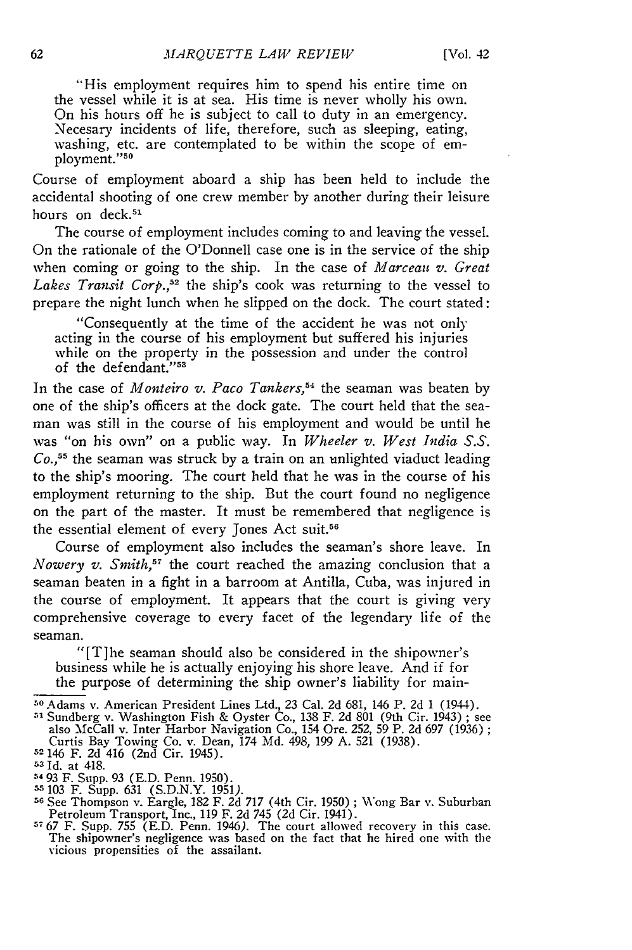"His employment requires him to spend his entire time on the vessel while it is at sea. His time is never wholly his own. On his hours off he is subject to call to duty in an emergency. Necesary incidents of life, therefore, such as sleeping, eating, washing, etc. are contemplated to be within the scope of employment."50

Course of employment aboard a ship has been held to include the accidental shooting of one crew member by another during their leisure hours on deck.<sup>51</sup>

The course of employment includes coming to and leaving the vessel. On the rationale of the O'Donnell case one is in the service of the ship when coming or going to the ship. In the case of *Marceau v. Great* Lakes Transit Corp.,<sup>52</sup> the ship's cook was returning to the vessel to prepare the night lunch when he slipped on the dock. The court stated:

"Consequently at the time of the accident he was not only acting in the course of his employment but suffered his injuries while on the property in the possession and under the control of the defendant."<sup>53</sup>

In the case of *Monteiro v. Paco Tankers,54* the seaman was beaten by one of the ship's officers at the dock gate. The court held that the seaman was still in the course of his employment and would be until he was "on his own" on a public way. In *Wheeler v. West India S.S. Co.,<sup>55</sup>*the seaman was struck by a train on an unlighted viaduct leading to the ship's mooring. The court held that he was in the course of his employment returning to the ship. But the court found no negligence on the part of the master. It must be remembered that negligence is the essential element of every Jones Act suit.<sup>56</sup>

Course of employment also includes the seaman's shore leave. In *Nowery v. Smith*,<sup>57</sup> the court reached the amazing conclusion that a seaman beaten in a fight in a barroom at Antilla, Cuba, was injured in the course of employment. It appears that the court is giving very comprehensive coverage to every facet of the legendary life of the seaman.

"[T]he seaman should also be considered in the shipowner's business while he is actually enjoying his shore leave. And if for the purpose of determining the ship owner's liability for main-

**<sup>50</sup>**Adams v. American President Lines Ltd., 23 Cal. 2d 681, 146 P. 2d 1 (1944). **51** Sundberg v. Washington Fish & Oyster Co., 138 F. 2d 801 (9th Cir. 1943) ; see

also 'McCall v. Inter Harbor Navigation Co., 154 Ore. 252, 59 P. 2d 697 (1936) Curtis Bay Towing Co. v. Dean, 174 Md. 498, 199 A. 521 (1938). **<sup>52</sup>**146 F. 2d 416 (2nd Cir. 1945).

 $53$  Id. at 418.

<sup>5493</sup> F. Supp. 93 (E.D. Penn. 1950).

**<sup>55</sup>**103 F. Supp. **631** (S.D.N.Y. 1951). **<sup>56</sup>**See Thompson v. Eargle, 182 F. 2d 717 (4th Cir. 1950) ; Wv\'ong Bar v. Suburban

Petroleum Transport, Inc., 119 F. 2d 745 (2d Cir. 1941).<br><sup>57</sup>67 F. Supp. 755 (E.D. Penn. 1946). The court allowed recovery in this case.<br>The shipowner's negligence was based on the fact that he hired one with the The shipowner's negligence was based on the fact that he hired one with the vicious propensities of the assailant.